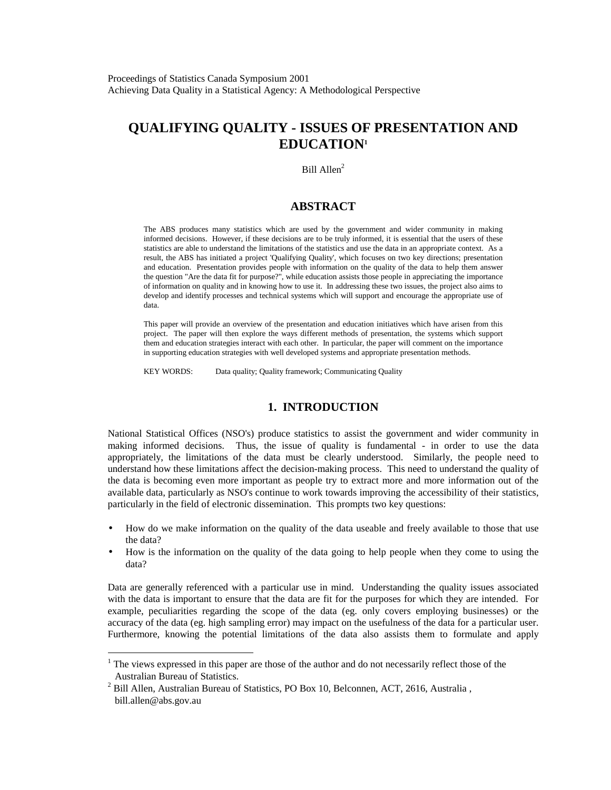# **QUALIFYING QUALITY - ISSUES OF PRESENTATION AND EDUCATION1**

Bill Allen<sup>2</sup>

### **ABSTRACT**

The ABS produces many statistics which are used by the government and wider community in making informed decisions. However, if these decisions are to be truly informed, it is essential that the users of these statistics are able to understand the limitations of the statistics and use the data in an appropriate context. As a result, the ABS has initiated a project 'Qualifying Quality', which focuses on two key directions; presentation and education. Presentation provides people with information on the quality of the data to help them answer the question "Are the data fit for purpose?", while education assists those people in appreciating the importance of information on quality and in knowing how to use it. In addressing these two issues, the project also aims to develop and identify processes and technical systems which will support and encourage the appropriate use of data.

This paper will provide an overview of the presentation and education initiatives which have arisen from this project. The paper will then explore the ways different methods of presentation, the systems which support them and education strategies interact with each other. In particular, the paper will comment on the importance in supporting education strategies with well developed systems and appropriate presentation methods.

KEY WORDS: Data quality; Quality framework; Communicating Quality

## **1. INTRODUCTION**

National Statistical Offices (NSO's) produce statistics to assist the government and wider community in making informed decisions. Thus, the issue of quality is fundamental - in order to use the data appropriately, the limitations of the data must be clearly understood. Similarly, the people need to understand how these limitations affect the decision-making process. This need to understand the quality of the data is becoming even more important as people try to extract more and more information out of the available data, particularly as NSO's continue to work towards improving the accessibility of their statistics, particularly in the field of electronic dissemination. This prompts two key questions:

- How do we make information on the quality of the data useable and freely available to those that use the data?
- How is the information on the quality of the data going to help people when they come to using the data?

Data are generally referenced with a particular use in mind. Understanding the quality issues associated with the data is important to ensure that the data are fit for the purposes for which they are intended. For example, peculiarities regarding the scope of the data (eg. only covers employing businesses) or the accuracy of the data (eg. high sampling error) may impact on the usefulness of the data for a particular user. Furthermore, knowing the potential limitations of the data also assists them to formulate and apply

 $1$  The views expressed in this paper are those of the author and do not necessarily reflect those of the Australian Bureau of Statistics.

 $^{2}$  Bill Allen, Australian Bureau of Statistics, PO Box 10, Belconnen, ACT, 2616, Australia, bill.allen@abs.gov.au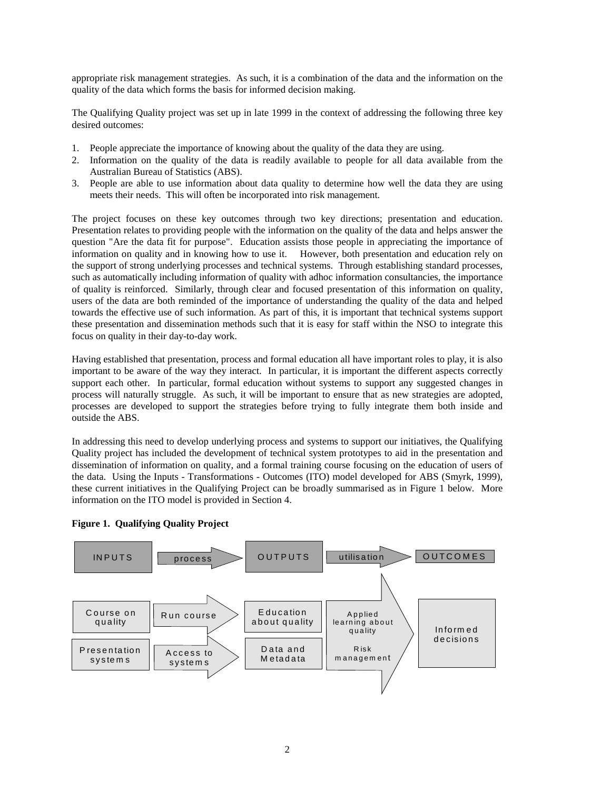appropriate risk management strategies. As such, it is a combination of the data and the information on the quality of the data which forms the basis for informed decision making.

The Qualifying Quality project was set up in late 1999 in the context of addressing the following three key desired outcomes:

- 1. People appreciate the importance of knowing about the quality of the data they are using.
- 2. Information on the quality of the data is readily available to people for all data available from the Australian Bureau of Statistics (ABS).
- 3. People are able to use information about data quality to determine how well the data they are using meets their needs. This will often be incorporated into risk management.

The project focuses on these key outcomes through two key directions; presentation and education. Presentation relates to providing people with the information on the quality of the data and helps answer the question "Are the data fit for purpose". Education assists those people in appreciating the importance of information on quality and in knowing how to use it. However, both presentation and education rely on the support of strong underlying processes and technical systems. Through establishing standard processes, such as automatically including information of quality with adhoc information consultancies, the importance of quality is reinforced. Similarly, through clear and focused presentation of this information on quality, users of the data are both reminded of the importance of understanding the quality of the data and helped towards the effective use of such information. As part of this, it is important that technical systems support these presentation and dissemination methods such that it is easy for staff within the NSO to integrate this focus on quality in their day-to-day work.

Having established that presentation, process and formal education all have important roles to play, it is also important to be aware of the way they interact. In particular, it is important the different aspects correctly support each other. In particular, formal education without systems to support any suggested changes in process will naturally struggle. As such, it will be important to ensure that as new strategies are adopted, processes are developed to support the strategies before trying to fully integrate them both inside and outside the ABS.

In addressing this need to develop underlying process and systems to support our initiatives, the Qualifying Quality project has included the development of technical system prototypes to aid in the presentation and dissemination of information on quality, and a formal training course focusing on the education of users of the data. Using the Inputs - Transformations - Outcomes (ITO) model developed for ABS (Smyrk, 1999), these current initiatives in the Qualifying Project can be broadly summarised as in Figure 1 below. More information on the ITO model is provided in Section 4.



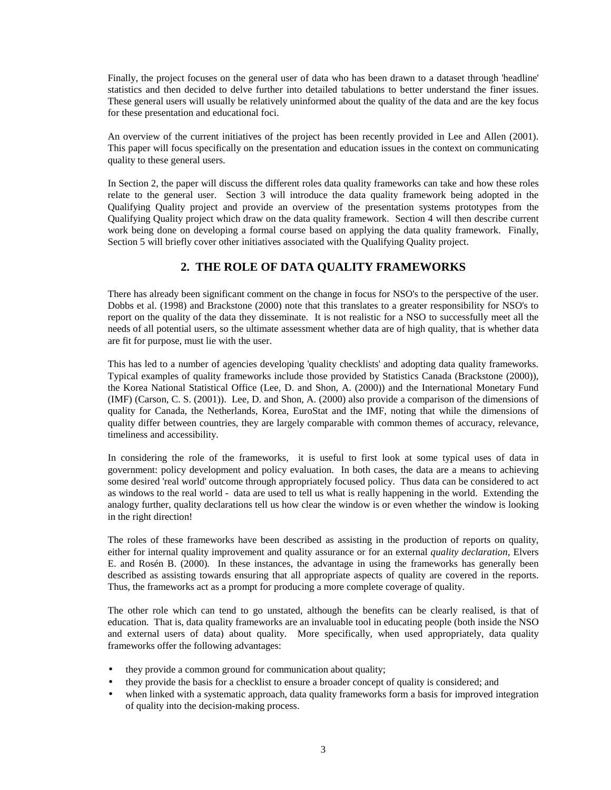Finally, the project focuses on the general user of data who has been drawn to a dataset through 'headline' statistics and then decided to delve further into detailed tabulations to better understand the finer issues. These general users will usually be relatively uninformed about the quality of the data and are the key focus for these presentation and educational foci.

An overview of the current initiatives of the project has been recently provided in Lee and Allen (2001). This paper will focus specifically on the presentation and education issues in the context on communicating quality to these general users.

In Section 2, the paper will discuss the different roles data quality frameworks can take and how these roles relate to the general user. Section 3 will introduce the data quality framework being adopted in the Qualifying Quality project and provide an overview of the presentation systems prototypes from the Qualifying Quality project which draw on the data quality framework. Section 4 will then describe current work being done on developing a formal course based on applying the data quality framework. Finally, Section 5 will briefly cover other initiatives associated with the Qualifying Quality project.

## **2. THE ROLE OF DATA QUALITY FRAMEWORKS**

There has already been significant comment on the change in focus for NSO's to the perspective of the user. Dobbs et al. (1998) and Brackstone (2000) note that this translates to a greater responsibility for NSO's to report on the quality of the data they disseminate. It is not realistic for a NSO to successfully meet all the needs of all potential users, so the ultimate assessment whether data are of high quality, that is whether data are fit for purpose, must lie with the user.

This has led to a number of agencies developing 'quality checklists' and adopting data quality frameworks. Typical examples of quality frameworks include those provided by Statistics Canada (Brackstone (2000)), the Korea National Statistical Office (Lee, D. and Shon, A. (2000)) and the International Monetary Fund (IMF) (Carson, C. S. (2001)). Lee, D. and Shon, A. (2000) also provide a comparison of the dimensions of quality for Canada, the Netherlands, Korea, EuroStat and the IMF, noting that while the dimensions of quality differ between countries, they are largely comparable with common themes of accuracy, relevance, timeliness and accessibility.

In considering the role of the frameworks, it is useful to first look at some typical uses of data in government: policy development and policy evaluation. In both cases, the data are a means to achieving some desired 'real world' outcome through appropriately focused policy. Thus data can be considered to act as windows to the real world - data are used to tell us what is really happening in the world. Extending the analogy further, quality declarations tell us how clear the window is or even whether the window is looking in the right direction!

The roles of these frameworks have been described as assisting in the production of reports on quality, either for internal quality improvement and quality assurance or for an external *quality declaration*, Elvers E. and Rosén B. (2000)*.* In these instances, the advantage in using the frameworks has generally been described as assisting towards ensuring that all appropriate aspects of quality are covered in the reports. Thus, the frameworks act as a prompt for producing a more complete coverage of quality.

The other role which can tend to go unstated, although the benefits can be clearly realised, is that of education. That is, data quality frameworks are an invaluable tool in educating people (both inside the NSO and external users of data) about quality. More specifically, when used appropriately, data quality frameworks offer the following advantages:

- they provide a common ground for communication about quality;
- they provide the basis for a checklist to ensure a broader concept of quality is considered; and
- when linked with a systematic approach, data quality frameworks form a basis for improved integration of quality into the decision-making process.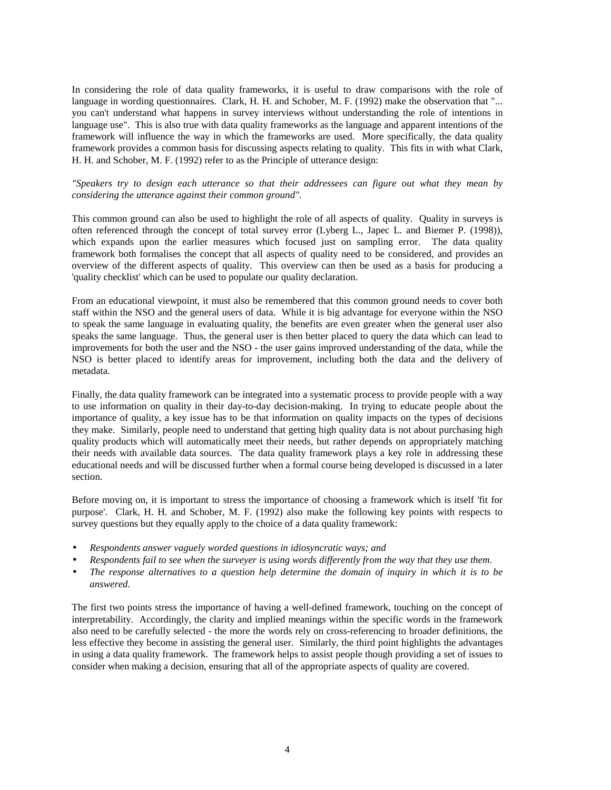In considering the role of data quality frameworks, it is useful to draw comparisons with the role of language in wording questionnaires. Clark, H. H. and Schober, M. F. (1992) make the observation that "... you can't understand what happens in survey interviews without understanding the role of intentions in language use". This is also true with data quality frameworks as the language and apparent intentions of the framework will influence the way in which the frameworks are used. More specifically, the data quality framework provides a common basis for discussing aspects relating to quality. This fits in with what Clark, H. H. and Schober, M. F. (1992) refer to as the Principle of utterance design:

#### *"Speakers try to design each utterance so that their addressees can figure out what they mean by considering the utterance against their common ground".*

This common ground can also be used to highlight the role of all aspects of quality. Quality in surveys is often referenced through the concept of total survey error (Lyberg L., Japec L. and Biemer P. (1998)), which expands upon the earlier measures which focused just on sampling error. The data quality framework both formalises the concept that all aspects of quality need to be considered, and provides an overview of the different aspects of quality. This overview can then be used as a basis for producing a 'quality checklist' which can be used to populate our quality declaration.

From an educational viewpoint, it must also be remembered that this common ground needs to cover both staff within the NSO and the general users of data. While it is big advantage for everyone within the NSO to speak the same language in evaluating quality, the benefits are even greater when the general user also speaks the same language. Thus, the general user is then better placed to query the data which can lead to improvements for both the user and the NSO - the user gains improved understanding of the data, while the NSO is better placed to identify areas for improvement, including both the data and the delivery of metadata.

Finally, the data quality framework can be integrated into a systematic process to provide people with a way to use information on quality in their day-to-day decision-making. In trying to educate people about the importance of quality, a key issue has to be that information on quality impacts on the types of decisions they make. Similarly, people need to understand that getting high quality data is not about purchasing high quality products which will automatically meet their needs, but rather depends on appropriately matching their needs with available data sources. The data quality framework plays a key role in addressing these educational needs and will be discussed further when a formal course being developed is discussed in a later section.

Before moving on, it is important to stress the importance of choosing a framework which is itself 'fit for purpose'. Clark, H. H. and Schober, M. F. (1992) also make the following key points with respects to survey questions but they equally apply to the choice of a data quality framework:

- *Respondents answer vaguely worded questions in idiosyncratic ways; and*
- *Respondents fail to see when the surveyer is using words differently from the way that they use them.*
- *The response alternatives to a question help determine the domain of inquiry in which it is to be answered.*

The first two points stress the importance of having a well-defined framework, touching on the concept of interpretability. Accordingly, the clarity and implied meanings within the specific words in the framework also need to be carefully selected - the more the words rely on cross-referencing to broader definitions, the less effective they become in assisting the general user. Similarly, the third point highlights the advantages in using a data quality framework. The framework helps to assist people though providing a set of issues to consider when making a decision, ensuring that all of the appropriate aspects of quality are covered.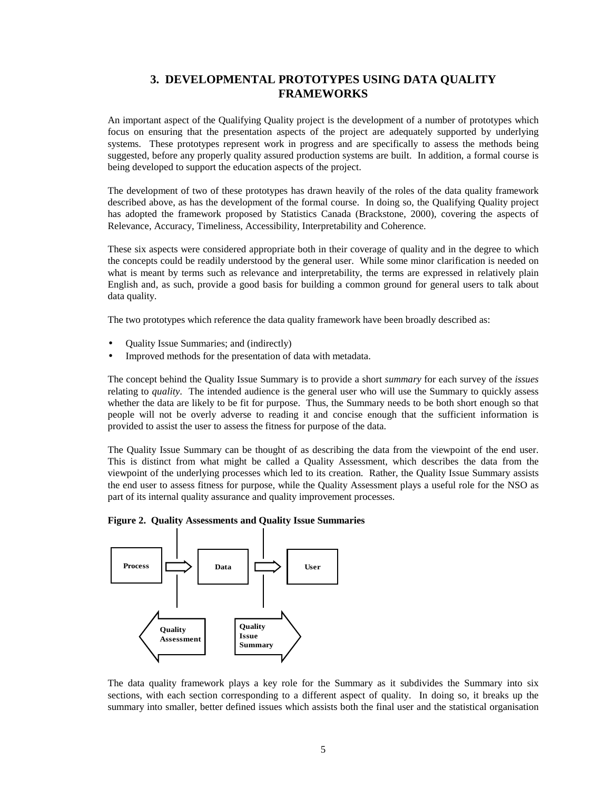## **3. DEVELOPMENTAL PROTOTYPES USING DATA QUALITY FRAMEWORKS**

An important aspect of the Qualifying Quality project is the development of a number of prototypes which focus on ensuring that the presentation aspects of the project are adequately supported by underlying systems. These prototypes represent work in progress and are specifically to assess the methods being suggested, before any properly quality assured production systems are built. In addition, a formal course is being developed to support the education aspects of the project.

The development of two of these prototypes has drawn heavily of the roles of the data quality framework described above, as has the development of the formal course. In doing so, the Qualifying Quality project has adopted the framework proposed by Statistics Canada (Brackstone, 2000), covering the aspects of Relevance, Accuracy, Timeliness, Accessibility, Interpretability and Coherence.

These six aspects were considered appropriate both in their coverage of quality and in the degree to which the concepts could be readily understood by the general user. While some minor clarification is needed on what is meant by terms such as relevance and interpretability, the terms are expressed in relatively plain English and, as such, provide a good basis for building a common ground for general users to talk about data quality.

The two prototypes which reference the data quality framework have been broadly described as:

- Quality Issue Summaries; and (indirectly)
- Improved methods for the presentation of data with metadata.

The concept behind the Quality Issue Summary is to provide a short *summary* for each survey of the *issues* relating to *quality*. The intended audience is the general user who will use the Summary to quickly assess whether the data are likely to be fit for purpose. Thus, the Summary needs to be both short enough so that people will not be overly adverse to reading it and concise enough that the sufficient information is provided to assist the user to assess the fitness for purpose of the data.

The Quality Issue Summary can be thought of as describing the data from the viewpoint of the end user. This is distinct from what might be called a Quality Assessment, which describes the data from the viewpoint of the underlying processes which led to its creation. Rather, the Quality Issue Summary assists the end user to assess fitness for purpose, while the Quality Assessment plays a useful role for the NSO as part of its internal quality assurance and quality improvement processes.





The data quality framework plays a key role for the Summary as it subdivides the Summary into six sections, with each section corresponding to a different aspect of quality. In doing so, it breaks up the summary into smaller, better defined issues which assists both the final user and the statistical organisation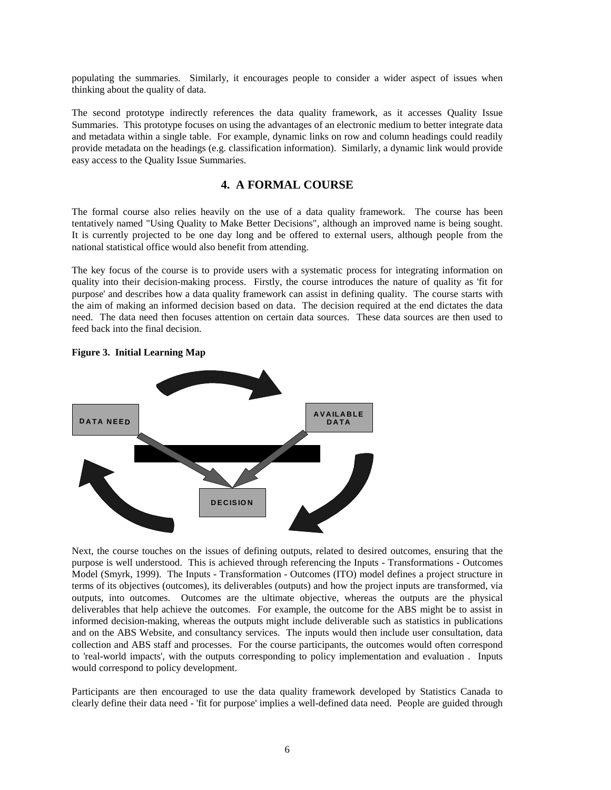populating the summaries. Similarly, it encourages people to consider a wider aspect of issues when thinking about the quality of data.

The second prototype indirectly references the data quality framework, as it accesses Quality Issue Summaries. This prototype focuses on using the advantages of an electronic medium to better integrate data and metadata within a single table. For example, dynamic links on row and column headings could readily provide metadata on the headings (e.g. classification information). Similarly, a dynamic link would provide easy access to the Quality Issue Summaries.

## **4. A FORMAL COURSE**

The formal course also relies heavily on the use of a data quality framework. The course has been tentatively named "Using Quality to Make Better Decisions", although an improved name is being sought. It is currently projected to be one day long and be offered to external users, although people from the national statistical office would also benefit from attending.

The key focus of the course is to provide users with a systematic process for integrating information on quality into their decision-making process. Firstly, the course introduces the nature of quality as 'fit for purpose' and describes how a data quality framework can assist in defining quality. The course starts with the aim of making an informed decision based on data. The decision required at the end dictates the data need. The data need then focuses attention on certain data sources. These data sources are then used to feed back into the final decision.



#### **Figure 3. Initial Learning Map**

Next, the course touches on the issues of defining outputs, related to desired outcomes, ensuring that the purpose is well understood. This is achieved through referencing the Inputs - Transformations - Outcomes Model (Smyrk, 1999). The Inputs - Transformation - Outcomes (ITO) model defines a project structure in terms of its objectives (outcomes), its deliverables (outputs) and how the project inputs are transformed, via outputs, into outcomes. Outcomes are the ultimate objective, whereas the outputs are the physical deliverables that help achieve the outcomes. For example, the outcome for the ABS might be to assist in informed decision-making, whereas the outputs might include deliverable such as statistics in publications and on the ABS Website, and consultancy services. The inputs would then include user consultation, data collection and ABS staff and processes. For the course participants, the outcomes would often correspond to 'real-world impacts', with the outputs corresponding to policy implementation and evaluation . Inputs would correspond to policy development.

Participants are then encouraged to use the data quality framework developed by Statistics Canada to clearly define their data need - 'fit for purpose' implies a well-defined data need. People are guided through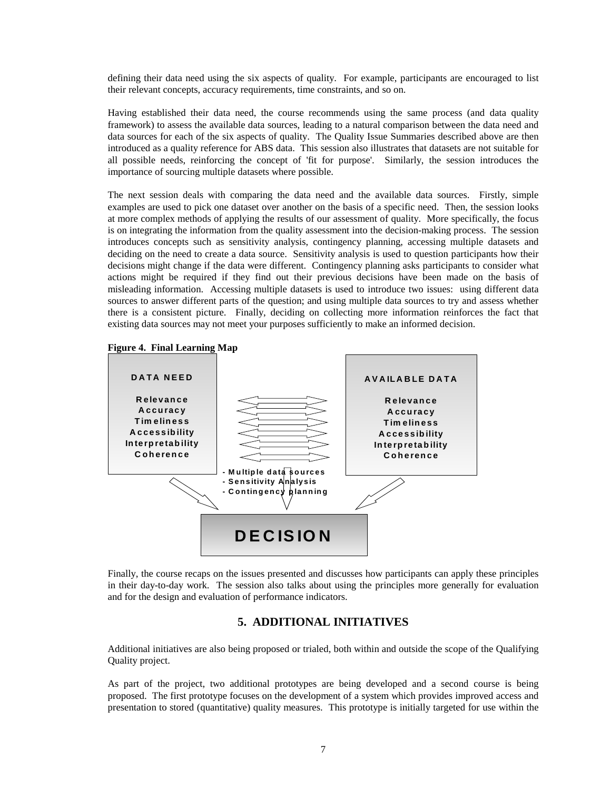defining their data need using the six aspects of quality. For example, participants are encouraged to list their relevant concepts, accuracy requirements, time constraints, and so on.

Having established their data need, the course recommends using the same process (and data quality framework) to assess the available data sources, leading to a natural comparison between the data need and data sources for each of the six aspects of quality. The Quality Issue Summaries described above are then introduced as a quality reference for ABS data. This session also illustrates that datasets are not suitable for all possible needs, reinforcing the concept of 'fit for purpose'. Similarly, the session introduces the importance of sourcing multiple datasets where possible.

The next session deals with comparing the data need and the available data sources. Firstly, simple examples are used to pick one dataset over another on the basis of a specific need. Then, the session looks at more complex methods of applying the results of our assessment of quality. More specifically, the focus is on integrating the information from the quality assessment into the decision-making process. The session introduces concepts such as sensitivity analysis, contingency planning, accessing multiple datasets and deciding on the need to create a data source. Sensitivity analysis is used to question participants how their decisions might change if the data were different. Contingency planning asks participants to consider what actions might be required if they find out their previous decisions have been made on the basis of misleading information. Accessing multiple datasets is used to introduce two issues: using different data sources to answer different parts of the question; and using multiple data sources to try and assess whether there is a consistent picture. Finally, deciding on collecting more information reinforces the fact that existing data sources may not meet your purposes sufficiently to make an informed decision.





Finally, the course recaps on the issues presented and discusses how participants can apply these principles in their day-to-day work. The session also talks about using the principles more generally for evaluation and for the design and evaluation of performance indicators.

## **5. ADDITIONAL INITIATIVES**

Additional initiatives are also being proposed or trialed, both within and outside the scope of the Qualifying Quality project.

As part of the project, two additional prototypes are being developed and a second course is being proposed. The first prototype focuses on the development of a system which provides improved access and presentation to stored (quantitative) quality measures. This prototype is initially targeted for use within the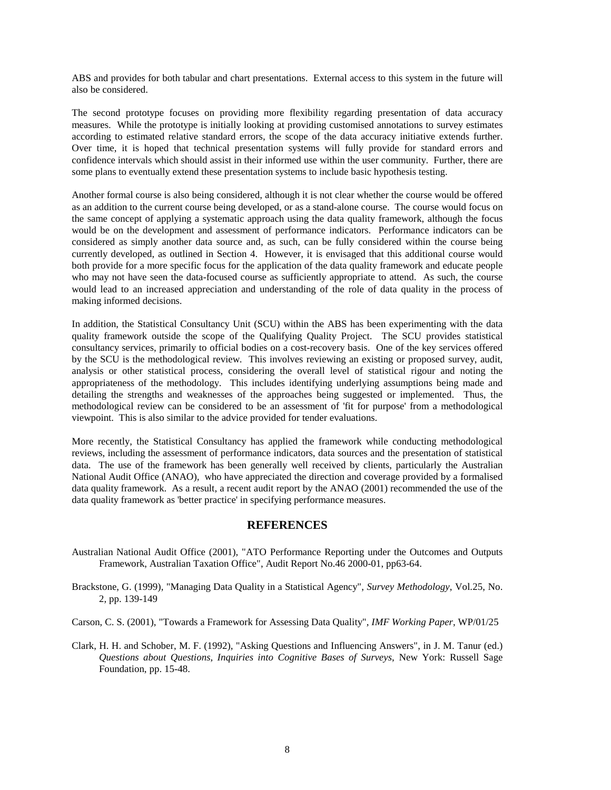ABS and provides for both tabular and chart presentations. External access to this system in the future will also be considered.

The second prototype focuses on providing more flexibility regarding presentation of data accuracy measures. While the prototype is initially looking at providing customised annotations to survey estimates according to estimated relative standard errors, the scope of the data accuracy initiative extends further. Over time, it is hoped that technical presentation systems will fully provide for standard errors and confidence intervals which should assist in their informed use within the user community. Further, there are some plans to eventually extend these presentation systems to include basic hypothesis testing.

Another formal course is also being considered, although it is not clear whether the course would be offered as an addition to the current course being developed, or as a stand-alone course. The course would focus on the same concept of applying a systematic approach using the data quality framework, although the focus would be on the development and assessment of performance indicators. Performance indicators can be considered as simply another data source and, as such, can be fully considered within the course being currently developed, as outlined in Section 4. However, it is envisaged that this additional course would both provide for a more specific focus for the application of the data quality framework and educate people who may not have seen the data-focused course as sufficiently appropriate to attend. As such, the course would lead to an increased appreciation and understanding of the role of data quality in the process of making informed decisions.

In addition, the Statistical Consultancy Unit (SCU) within the ABS has been experimenting with the data quality framework outside the scope of the Qualifying Quality Project. The SCU provides statistical consultancy services, primarily to official bodies on a cost-recovery basis. One of the key services offered by the SCU is the methodological review. This involves reviewing an existing or proposed survey, audit, analysis or other statistical process, considering the overall level of statistical rigour and noting the appropriateness of the methodology. This includes identifying underlying assumptions being made and detailing the strengths and weaknesses of the approaches being suggested or implemented. Thus, the methodological review can be considered to be an assessment of 'fit for purpose' from a methodological viewpoint. This is also similar to the advice provided for tender evaluations.

More recently, the Statistical Consultancy has applied the framework while conducting methodological reviews, including the assessment of performance indicators, data sources and the presentation of statistical data. The use of the framework has been generally well received by clients, particularly the Australian National Audit Office (ANAO), who have appreciated the direction and coverage provided by a formalised data quality framework. As a result, a recent audit report by the ANAO (2001) recommended the use of the data quality framework as 'better practice' in specifying performance measures.

## **REFERENCES**

- Australian National Audit Office (2001), "ATO Performance Reporting under the Outcomes and Outputs Framework, Australian Taxation Office", Audit Report No.46 2000-01, pp63-64.
- Brackstone, G. (1999), "Managing Data Quality in a Statistical Agency", *Survey Methodology*, Vol.25, No. 2, pp. 139-149
- Carson, C. S. (2001), "Towards a Framework for Assessing Data Quality", *IMF Working Paper*, WP/01/25
- Clark, H. H. and Schober, M. F. (1992), "Asking Questions and Influencing Answers", in J. M. Tanur (ed.) *Questions about Questions, Inquiries into Cognitive Bases of Surveys*, New York: Russell Sage Foundation, pp. 15-48.